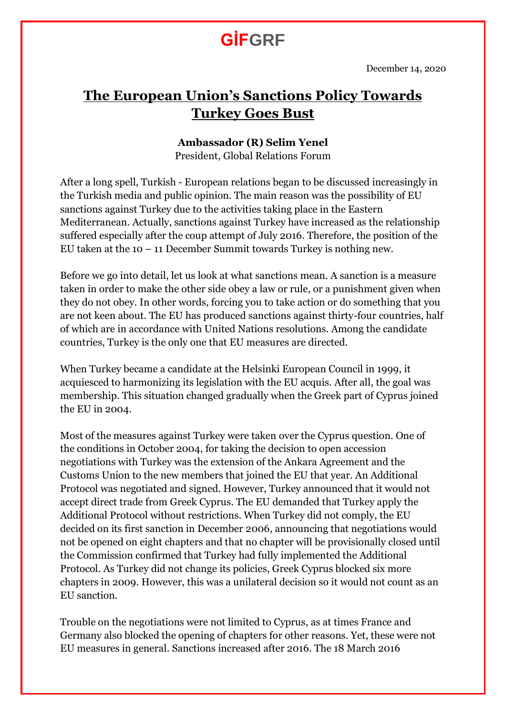## **GİFGRF**

### **The European Union's Sanctions Policy Towards Turkey Goes Bust**

#### **Ambassador (R) Selim Yenel**

President, Global Relations Forum

After a long spell, Turkish - European relations began to be discussed increasingly in the Turkish media and public opinion. The main reason was the possibility of EU sanctions against Turkey due to the activities taking place in the Eastern Mediterranean. Actually, sanctions against Turkey have increased as the relationship suffered especially after the coup attempt of July 2016. Therefore, the position of the EU taken at the  $10 - 11$  December Summit towards Turkey is nothing new.

Before we go into detail, let us look at what sanctions mean. A sanction is a measure taken in order to make the other side obey a law or rule, or a punishment given when they do not obey. In other words, forcing you to take action or do something that you are not keen about. The EU has produced sanctions against thirty-four countries, half of which are in accordance with United Nations resolutions. Among the candidate countries, Turkey is the only one that EU measures are directed.

When Turkey became a candidate at the Helsinki European Council in 1999, it acquiesced to harmonizing its legislation with the EU acquis. After all, the goal was membership. This situation changed gradually when the Greek part of Cyprus joined the EU in 2004.

Most of the measures against Turkey were taken over the Cyprus question. One of the conditions in October 2004, for taking the decision to open accession negotiations with Turkey was the extension of the Ankara Agreement and the Customs Union to the new members that joined the EU that year. An Additional Protocol was negotiated and signed. However, Turkey announced that it would not accept direct trade from Greek Cyprus. The EU demanded that Turkey apply the Additional Protocol without restrictions. When Turkey did not comply, the EU decided on its first sanction in December 2006, announcing that negotiations would not be opened on eight chapters and that no chapter will be provisionally closed until the Commission confirmed that Turkey had fully implemented the Additional Protocol. As Turkey did not change its policies, Greek Cyprus blocked six more chapters in 2009. However, this was a unilateral decision so it would not count as an EU sanction.

Trouble on the negotiations were not limited to Cyprus, as at times France and Germany also blocked the opening of chapters for other reasons. Yet, these were not EU measures in general. Sanctions increased after 2016. The 18 March 2016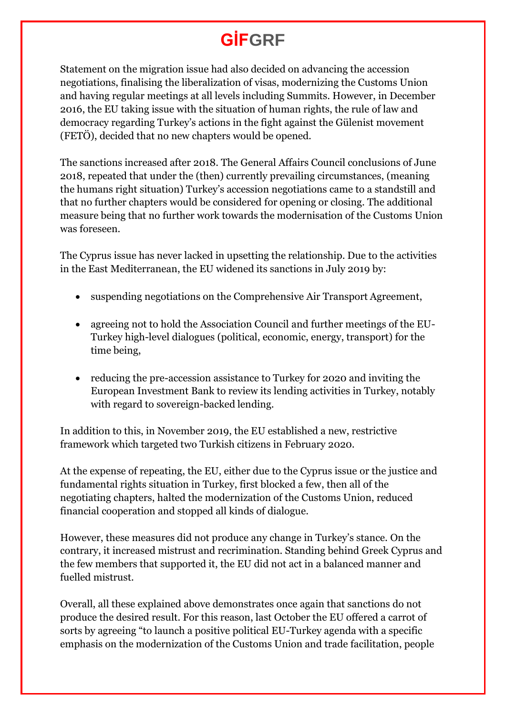# **GİFGRF**

Statement on the migration issue had also decided on advancing the accession negotiations, finalising the liberalization of visas, modernizing the Customs Union and having regular meetings at all levels including Summits. However, in December 2016, the EU taking issue with the situation of human rights, the rule of law and democracy regarding Turkey's actions in the fight against the Gülenist movement (FETÖ), decided that no new chapters would be opened.

The sanctions increased after 2018. The General Affairs Council conclusions of June 2018, repeated that under the (then) currently prevailing circumstances, (meaning the humans right situation) Turkey's accession negotiations came to a standstill and that no further chapters would be considered for opening or closing. The additional measure being that no further work towards the modernisation of the Customs Union was foreseen.

The Cyprus issue has never lacked in upsetting the relationship. Due to the activities in the East Mediterranean, the EU widened its sanctions in July 2019 by:

- suspending negotiations on the Comprehensive Air Transport Agreement,
- agreeing not to hold the Association Council and further meetings of the EU-Turkey high-level dialogues (political, economic, energy, transport) for the time being,
- reducing the pre-accession assistance to Turkey for 2020 and inviting the European Investment Bank to review its lending activities in Turkey, notably with regard to sovereign-backed lending.

In addition to this, in November 2019, the EU established a new, restrictive framework which targeted two Turkish citizens in February 2020.

At the expense of repeating, the EU, either due to the Cyprus issue or the justice and fundamental rights situation in Turkey, first blocked a few, then all of the negotiating chapters, halted the modernization of the Customs Union, reduced financial cooperation and stopped all kinds of dialogue.

However, these measures did not produce any change in Turkey's stance. On the contrary, it increased mistrust and recrimination. Standing behind Greek Cyprus and the few members that supported it, the EU did not act in a balanced manner and fuelled mistrust.

Overall, all these explained above demonstrates once again that sanctions do not produce the desired result. For this reason, last October the EU offered a carrot of sorts by agreeing "to launch a positive political EU-Turkey agenda with a specific emphasis on the modernization of the Customs Union and trade facilitation, people